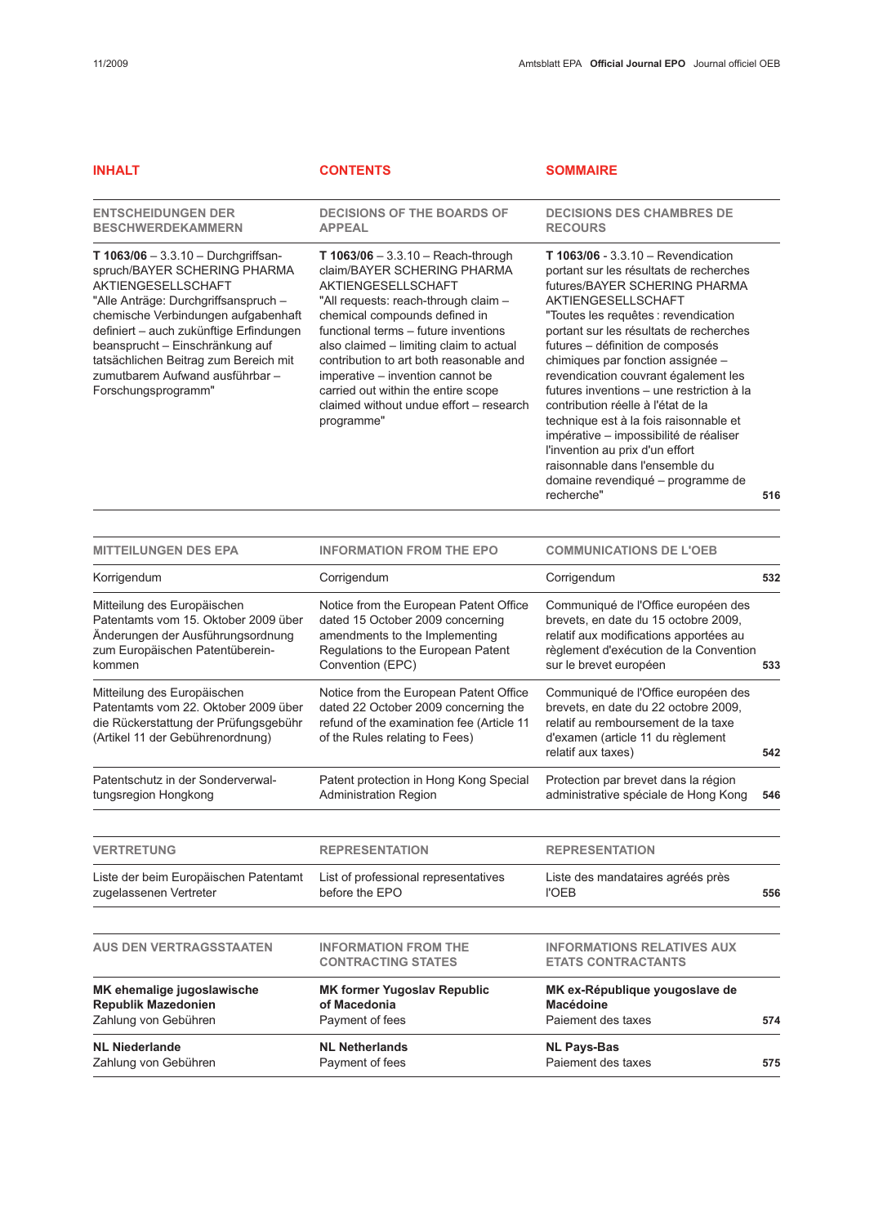| <b>INHALT</b>                                                                                                                                                                                                                                                                                                                                               | <b>CONTENTS</b>                                                                                                                                                                                                                                                                                                                                                                                                                             | <b>SOMMAIRE</b>                                                                                                                                                                                                                                                                                                                                                                                                                                                                                                                                                                                                                         |     |
|-------------------------------------------------------------------------------------------------------------------------------------------------------------------------------------------------------------------------------------------------------------------------------------------------------------------------------------------------------------|---------------------------------------------------------------------------------------------------------------------------------------------------------------------------------------------------------------------------------------------------------------------------------------------------------------------------------------------------------------------------------------------------------------------------------------------|-----------------------------------------------------------------------------------------------------------------------------------------------------------------------------------------------------------------------------------------------------------------------------------------------------------------------------------------------------------------------------------------------------------------------------------------------------------------------------------------------------------------------------------------------------------------------------------------------------------------------------------------|-----|
| <b>ENTSCHEIDUNGEN DER</b><br><b>BESCHWERDEKAMMERN</b>                                                                                                                                                                                                                                                                                                       | <b>DECISIONS OF THE BOARDS OF</b><br><b>APPEAL</b>                                                                                                                                                                                                                                                                                                                                                                                          | <b>DECISIONS DES CHAMBRES DE</b><br><b>RECOURS</b>                                                                                                                                                                                                                                                                                                                                                                                                                                                                                                                                                                                      |     |
| T $1063/06 - 3.3.10 - Durchgriffsan-$<br>spruch/BAYER SCHERING PHARMA<br>AKTIENGESELLSCHAFT<br>"Alle Anträge: Durchgriffsanspruch -<br>chemische Verbindungen aufgabenhaft<br>definiert - auch zukünftige Erfindungen<br>beansprucht - Einschränkung auf<br>tatsächlichen Beitrag zum Bereich mit<br>zumutbarem Aufwand ausführbar -<br>Forschungsprogramm" | T $1063/06 - 3.3.10 -$ Reach-through<br>claim/BAYER SCHERING PHARMA<br><b>AKTIENGESELLSCHAFT</b><br>"All requests: reach-through claim -<br>chemical compounds defined in<br>functional terms - future inventions<br>also claimed - limiting claim to actual<br>contribution to art both reasonable and<br>imperative - invention cannot be<br>carried out within the entire scope<br>claimed without undue effort - research<br>programme" | T 1063/06 - 3.3.10 - Revendication<br>portant sur les résultats de recherches<br>futures/BAYER SCHERING PHARMA<br>AKTIENGESELLSCHAFT<br>"Toutes les requêtes : revendication<br>portant sur les résultats de recherches<br>futures - définition de composés<br>chimiques par fonction assignée -<br>revendication couvrant également les<br>futures inventions - une restriction à la<br>contribution réelle à l'état de la<br>technique est à la fois raisonnable et<br>impérative - impossibilité de réaliser<br>l'invention au prix d'un effort<br>raisonnable dans l'ensemble du<br>domaine revendiqué - programme de<br>recherche" | 516 |
| <b>MITTEILUNGEN DES EPA</b>                                                                                                                                                                                                                                                                                                                                 | <b>INFORMATION FROM THE EPO</b>                                                                                                                                                                                                                                                                                                                                                                                                             | <b>COMMUNICATIONS DE L'OEB</b>                                                                                                                                                                                                                                                                                                                                                                                                                                                                                                                                                                                                          |     |
| Korrigendum                                                                                                                                                                                                                                                                                                                                                 | Corrigendum                                                                                                                                                                                                                                                                                                                                                                                                                                 | Corrigendum                                                                                                                                                                                                                                                                                                                                                                                                                                                                                                                                                                                                                             | 532 |
| Mitteilung des Europäischen<br>Patentamts vom 15. Oktober 2009 über<br>Änderungen der Ausführungsordnung<br>zum Europäischen Patentüberein-<br>kommen                                                                                                                                                                                                       | Notice from the European Patent Office<br>dated 15 October 2009 concerning<br>amendments to the Implementing<br>Regulations to the European Patent<br>Convention (EPC)                                                                                                                                                                                                                                                                      | Communiqué de l'Office européen des<br>brevets, en date du 15 octobre 2009,<br>relatif aux modifications apportées au<br>règlement d'exécution de la Convention<br>sur le brevet européen                                                                                                                                                                                                                                                                                                                                                                                                                                               | 533 |
| Mitteilung des Europäischen<br>Patentamts vom 22. Oktober 2009 über<br>die Rückerstattung der Prüfungsgebühr<br>(Artikel 11 der Gebührenordnung)                                                                                                                                                                                                            | Notice from the European Patent Office<br>dated 22 October 2009 concerning the<br>refund of the examination fee (Article 11<br>of the Rules relating to Fees)                                                                                                                                                                                                                                                                               | Communiqué de l'Office européen des<br>brevets, en date du 22 octobre 2009,<br>relatif au remboursement de la taxe<br>d'examen (article 11 du règlement<br>relatif aux taxes)                                                                                                                                                                                                                                                                                                                                                                                                                                                           | 542 |
| Patentschutz in der Sonderverwal-<br>tungsregion Hongkong                                                                                                                                                                                                                                                                                                   | Patent protection in Hong Kong Special<br><b>Administration Region</b>                                                                                                                                                                                                                                                                                                                                                                      | Protection par brevet dans la région<br>administrative spéciale de Hong Kong                                                                                                                                                                                                                                                                                                                                                                                                                                                                                                                                                            | 546 |

| <b>VERTRETUNG</b>                     | <b>REPRESENTATION</b>                                    | <b>REPRESENTATION</b>                                          |     |
|---------------------------------------|----------------------------------------------------------|----------------------------------------------------------------|-----|
| Liste der beim Europäischen Patentamt | List of professional representatives                     | Liste des mandataires agréés près                              | 556 |
| zugelassenen Vertreter                | before the EPO                                           | <b>I'OEB</b>                                                   |     |
| <b>AUS DEN VERTRAGSSTAATEN</b>        | <b>INFORMATION FROM THE</b><br><b>CONTRACTING STATES</b> | <b>INFORMATIONS RELATIVES AUX</b><br><b>ETATS CONTRACTANTS</b> |     |
| MK ehemalige jugoslawische            | <b>MK former Yugoslav Republic</b>                       | MK ex-République yougoslave de                                 | 574 |
| <b>Republik Mazedonien</b>            | of Macedonia                                             | Macédoine                                                      |     |
| Zahlung von Gebühren                  | Payment of fees                                          | Paiement des taxes                                             |     |
| <b>NL Niederlande</b>                 | <b>NL Netherlands</b>                                    | <b>NL Pays-Bas</b>                                             | 575 |
| Zahlung von Gebühren                  | Payment of fees                                          | Paiement des taxes                                             |     |